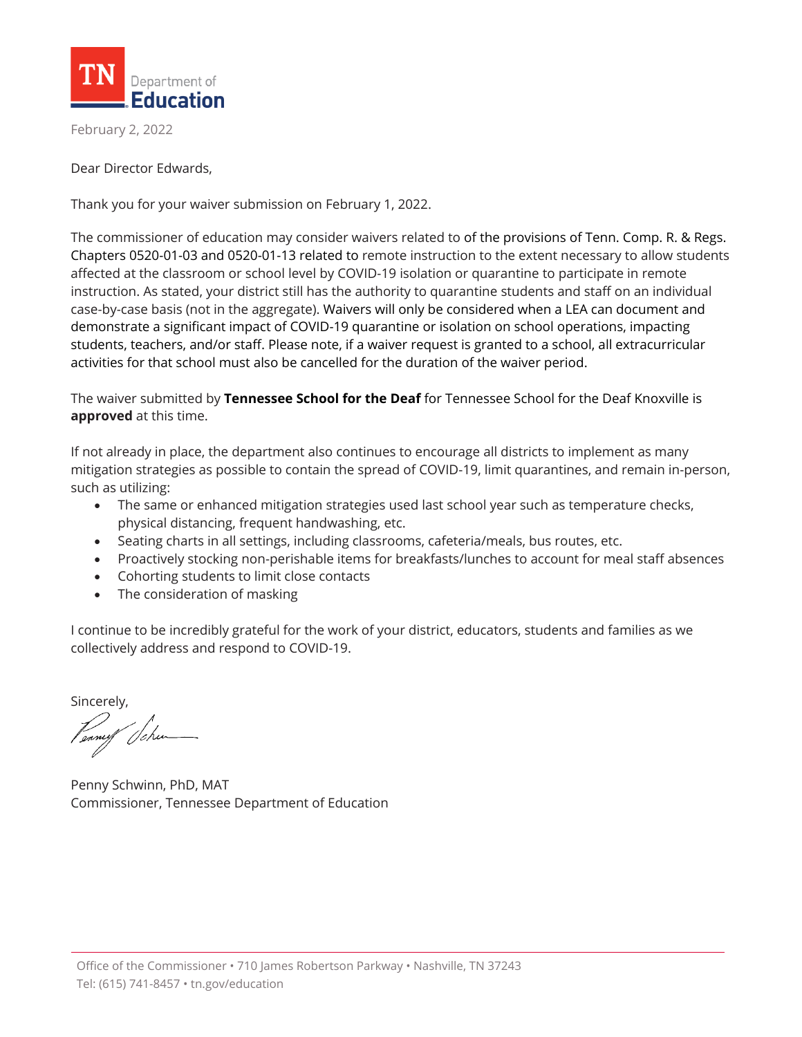

February 2, 2022

Dear Director Edwards,

Thank you for your waiver submission on February 1, 2022.

The commissioner of education may consider waivers related to of the provisions of Tenn. Comp. R. & Regs. Chapters 0520-01-03 and 0520-01-13 related to remote instruction to the extent necessary to allow students affected at the classroom or school level by COVID-19 isolation or quarantine to participate in remote instruction. As stated, your district still has the authority to quarantine students and staff on an individual case-by-case basis (not in the aggregate). Waivers will only be considered when a LEA can document and demonstrate a significant impact of COVID-19 quarantine or isolation on school operations, impacting students, teachers, and/or staff. Please note, if a waiver request is granted to a school, all extracurricular activities for that school must also be cancelled for the duration of the waiver period.

The waiver submitted by **Tennessee School for the Deaf** for Tennessee School for the Deaf Knoxville is **approved** at this time.

If not already in place, the department also continues to encourage all districts to implement as many mitigation strategies as possible to contain the spread of COVID-19, limit quarantines, and remain in-person, such as utilizing:

- The same or enhanced mitigation strategies used last school year such as temperature checks, physical distancing, frequent handwashing, etc.
- Seating charts in all settings, including classrooms, cafeteria/meals, bus routes, etc.
- Proactively stocking non-perishable items for breakfasts/lunches to account for meal staff absences
- Cohorting students to limit close contacts
- The consideration of masking

I continue to be incredibly grateful for the work of your district, educators, students and families as we collectively address and respond to COVID-19.

Sincerely,

Penny Schwinn, PhD, MAT Commissioner, Tennessee Department of Education